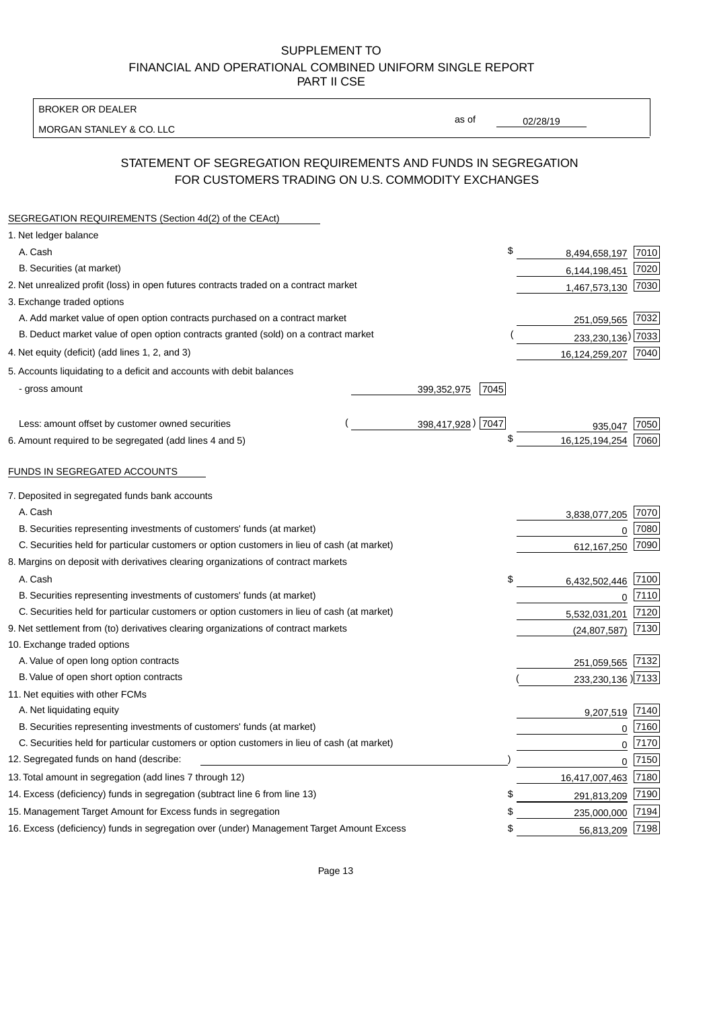BROKER OR DEALER

MORGAN STANLEY & CO. LLC

02/28/19

as of

# STATEMENT OF SEGREGATION REQUIREMENTS AND FUNDS IN SEGREGATION FOR CUSTOMERS TRADING ON U.S. COMMODITY EXCHANGES

| SEGREGATION REQUIREMENTS (Section 4d(2) of the CEAct)                                       |                     |                     |      |
|---------------------------------------------------------------------------------------------|---------------------|---------------------|------|
| 1. Net ledger balance                                                                       |                     |                     |      |
| A. Cash                                                                                     | \$                  | 8,494,658,197       | 7010 |
| B. Securities (at market)                                                                   |                     | 6,144,198,451       | 7020 |
| 2. Net unrealized profit (loss) in open futures contracts traded on a contract market       |                     | 1,467,573,130       | 7030 |
| 3. Exchange traded options                                                                  |                     |                     |      |
| A. Add market value of open option contracts purchased on a contract market                 |                     | 251,059,565 7032    |      |
| B. Deduct market value of open option contracts granted (sold) on a contract market         |                     | 233,230,136) 7033   |      |
| 4. Net equity (deficit) (add lines 1, 2, and 3)                                             |                     | 16,124,259,207      | 7040 |
| 5. Accounts liquidating to a deficit and accounts with debit balances                       |                     |                     |      |
| - gross amount                                                                              | 399,352,975<br>7045 |                     |      |
|                                                                                             |                     |                     |      |
| Less: amount offset by customer owned securities                                            | 398,417,928) 7047   | 935.047             | 7050 |
| 6. Amount required to be segregated (add lines 4 and 5)                                     | \$                  | 16,125,194,254      | 7060 |
|                                                                                             |                     |                     |      |
| FUNDS IN SEGREGATED ACCOUNTS                                                                |                     |                     |      |
| 7. Deposited in segregated funds bank accounts                                              |                     |                     |      |
| A. Cash                                                                                     |                     | 3,838,077,205       | 7070 |
| B. Securities representing investments of customers' funds (at market)                      |                     | $\Omega$            | 7080 |
| C. Securities held for particular customers or option customers in lieu of cash (at market) |                     | 612, 167, 250       | 7090 |
| 8. Margins on deposit with derivatives clearing organizations of contract markets           |                     |                     |      |
| A. Cash                                                                                     | \$                  | 6,432,502,446       | 7100 |
| B. Securities representing investments of customers' funds (at market)                      |                     | $\mathbf{0}$        | 7110 |
| C. Securities held for particular customers or option customers in lieu of cash (at market) |                     | 5,532,031,201       | 7120 |
| 9. Net settlement from (to) derivatives clearing organizations of contract markets          |                     | (24, 807, 587)      | 7130 |
| 10. Exchange traded options                                                                 |                     |                     |      |
| A. Value of open long option contracts                                                      |                     | 251,059,565         | 7132 |
| B. Value of open short option contracts                                                     |                     | 233,230,136) 7133   |      |
| 11. Net equities with other FCMs                                                            |                     |                     |      |
| A. Net liquidating equity                                                                   |                     | 9,207,519           | 7140 |
| B. Securities representing investments of customers' funds (at market)                      |                     | $\mathbf 0$         | 7160 |
| C. Securities held for particular customers or option customers in lieu of cash (at market) |                     | 0                   | 7170 |
| 12. Segregated funds on hand (describe:                                                     |                     | 0                   | 7150 |
| 13. Total amount in segregation (add lines 7 through 12)                                    |                     | 16,417,007,463 7180 |      |
| 14. Excess (deficiency) funds in segregation (subtract line 6 from line 13)                 | S                   | 291,813,209         | 7190 |
| 15. Management Target Amount for Excess funds in segregation                                | \$                  | 235,000,000         | 7194 |
| 16. Excess (deficiency) funds in segregation over (under) Management Target Amount Excess   | \$                  | 56,813,209          | 7198 |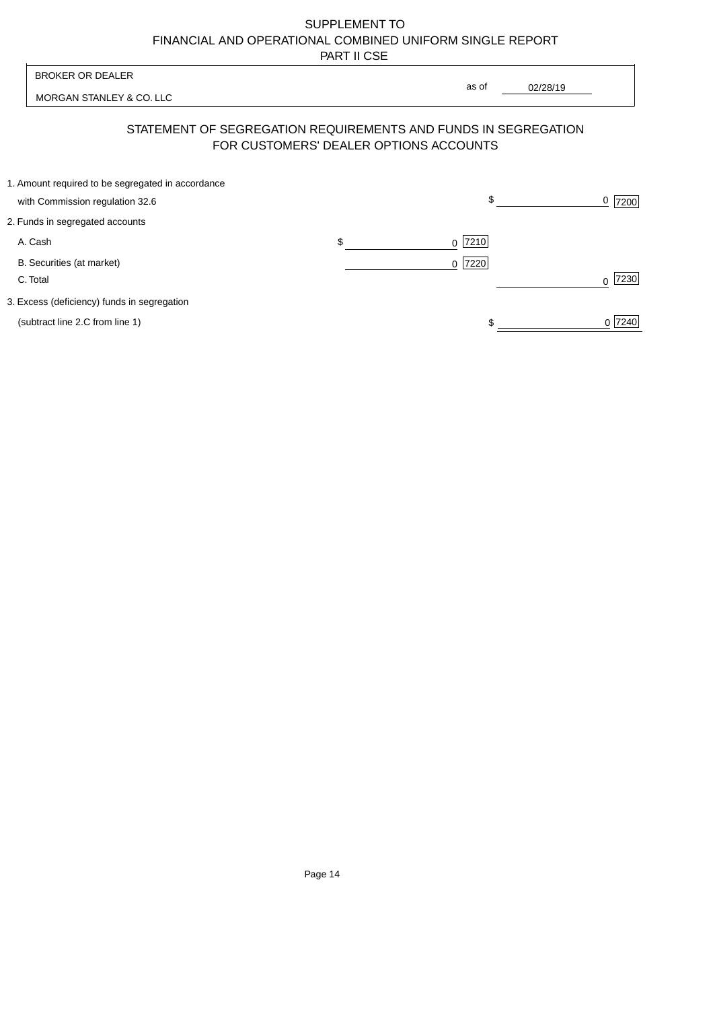| <b>BROKER OR DEALER</b>                                                              | as of                                  |          |                  |
|--------------------------------------------------------------------------------------|----------------------------------------|----------|------------------|
| MORGAN STANLEY & CO. LLC                                                             |                                        | 02/28/19 |                  |
| STATEMENT OF SEGREGATION REQUIREMENTS AND FUNDS IN SEGREGATION                       | FOR CUSTOMERS' DEALER OPTIONS ACCOUNTS |          |                  |
| 1. Amount required to be segregated in accordance<br>with Commission regulation 32.6 | \$                                     |          | 0<br>7200        |
| 2. Funds in segregated accounts                                                      |                                        |          |                  |
| A. Cash                                                                              | \$<br>7210<br>$\Omega$                 |          |                  |
| B. Securities (at market)<br>C. Total                                                | 0 7220                                 |          | 7230<br>$\Omega$ |
| 3. Excess (deficiency) funds in segregation                                          |                                        |          |                  |
| (subtract line 2.C from line 1)                                                      |                                        |          | 0 7240           |
|                                                                                      |                                        |          |                  |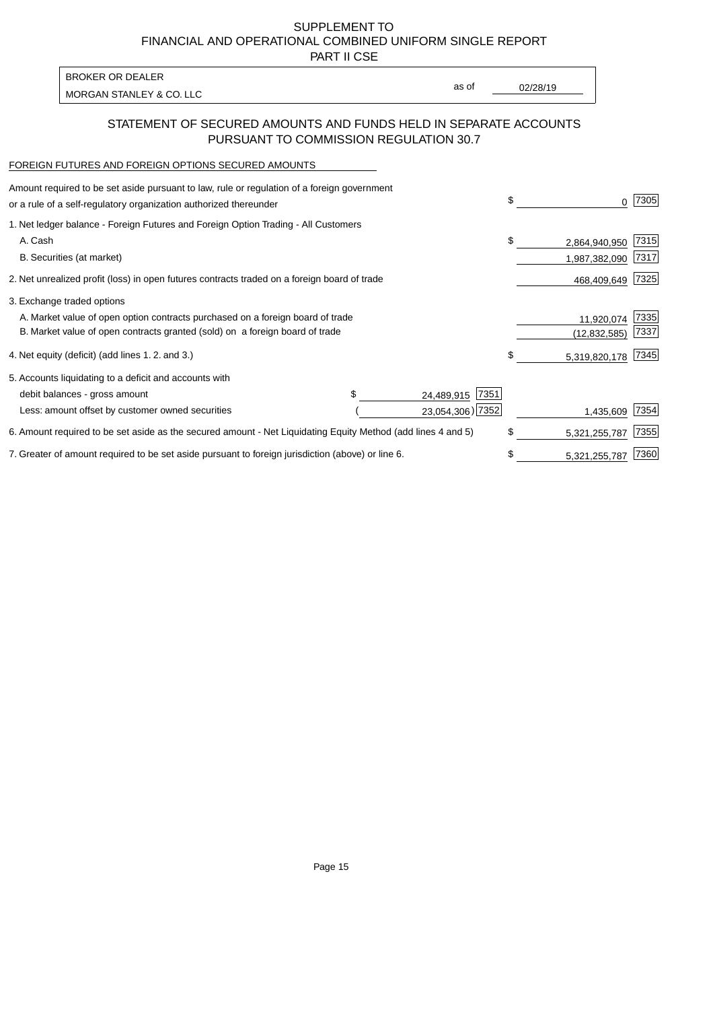PART II CSE

| BROKER OR DEALER         |       |          |
|--------------------------|-------|----------|
| MORGAN STANLEY & CO. LLC | as of | 02/28/19 |
|                          |       |          |

### STATEMENT OF SECURED AMOUNTS AND FUNDS HELD IN SEPARATE ACCOUNTS PURSUANT TO COMMISSION REGULATION 30.7

#### FOREIGN FUTURES AND FOREIGN OPTIONS SECURED AMOUNTS

| Amount required to be set aside pursuant to law, rule or regulation of a foreign government<br>or a rule of a self-regulatory organization authorized thereunder |  |                    | \$<br>0             | 7305 |
|------------------------------------------------------------------------------------------------------------------------------------------------------------------|--|--------------------|---------------------|------|
| 1. Net ledger balance - Foreign Futures and Foreign Option Trading - All Customers                                                                               |  |                    |                     |      |
| A. Cash                                                                                                                                                          |  |                    | \$<br>2,864,940,950 | 7315 |
| B. Securities (at market)                                                                                                                                        |  |                    | 1,987,382,090       | 7317 |
| 2. Net unrealized profit (loss) in open futures contracts traded on a foreign board of trade                                                                     |  |                    | 468,409,649         | 7325 |
| 3. Exchange traded options                                                                                                                                       |  |                    |                     |      |
| A. Market value of open option contracts purchased on a foreign board of trade                                                                                   |  |                    | 11,920,074          | 7335 |
| B. Market value of open contracts granted (sold) on a foreign board of trade                                                                                     |  |                    | (12, 832, 585)      | 7337 |
| 4. Net equity (deficit) (add lines 1.2. and 3.)                                                                                                                  |  |                    | \$<br>5,319,820,178 | 7345 |
| 5. Accounts liquidating to a deficit and accounts with                                                                                                           |  |                    |                     |      |
| debit balances - gross amount                                                                                                                                    |  | 7351<br>24,489,915 |                     |      |
| Less: amount offset by customer owned securities                                                                                                                 |  | 23,054,306) 7352   | 1,435,609           | 7354 |
| 6. Amount required to be set aside as the secured amount - Net Liquidating Equity Method (add lines 4 and 5)                                                     |  |                    | \$<br>5,321,255,787 | 7355 |
| 7. Greater of amount required to be set aside pursuant to foreign jurisdiction (above) or line 6.                                                                |  |                    | \$<br>5,321,255,787 | 7360 |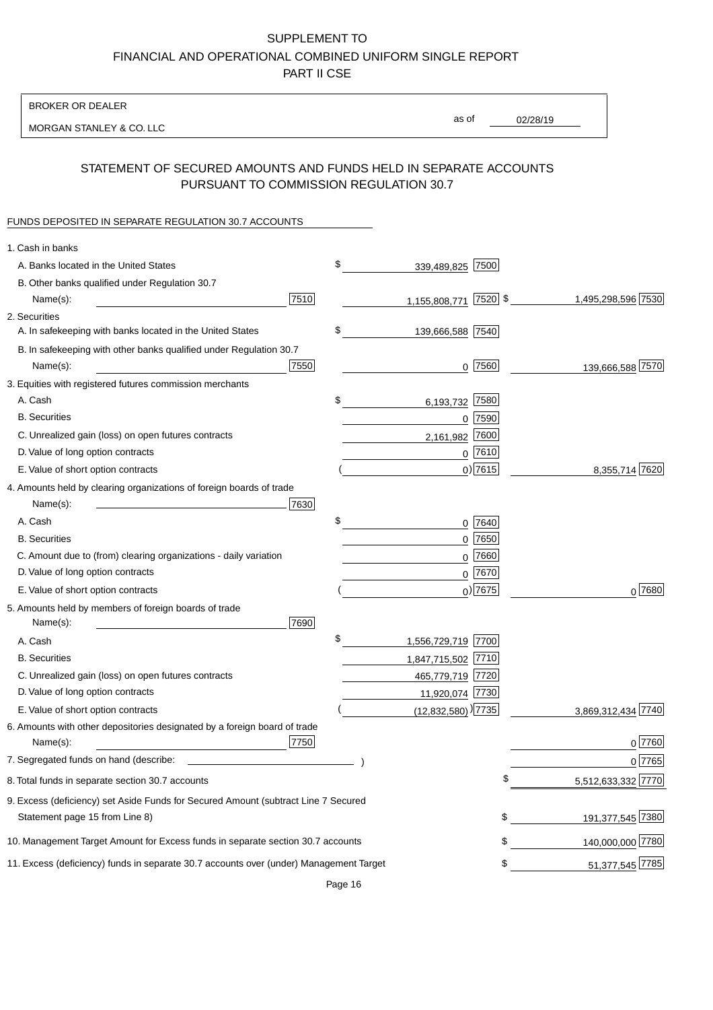#### BROKER OR DEALER

MORGAN STANLEY & CO. LLC

02/28/19

as of

## STATEMENT OF SECURED AMOUNTS AND FUNDS HELD IN SEPARATE ACCOUNTS PURSUANT TO COMMISSION REGULATION 30.7

# FUNDS DEPOSITED IN SEPARATE REGULATION 30.7 ACCOUNTS

| 1. Cash in banks                                                                       |            |                                  |             |                    |
|----------------------------------------------------------------------------------------|------------|----------------------------------|-------------|--------------------|
| A. Banks located in the United States                                                  | \$         | 339,489,825                      | 7500        |                    |
| B. Other banks qualified under Regulation 30.7                                         |            |                                  |             |                    |
| Name(s):                                                                               | 7510       | 1,155,808,771                    | $ 7520 $ \$ | 1,495,298,596 7530 |
| 2. Securities                                                                          |            |                                  |             |                    |
| A. In safekeeping with banks located in the United States                              | \$         | 139,666,588 7540                 |             |                    |
| B. In safekeeping with other banks qualified under Regulation 30.7                     |            |                                  |             |                    |
| Name(s):                                                                               | 7550       |                                  | $0$  7560   | 139,666,588 7570   |
| 3. Equities with registered futures commission merchants                               |            |                                  |             |                    |
| A. Cash                                                                                | \$         | 6,193,732                        | 7580        |                    |
| <b>B.</b> Securities                                                                   |            |                                  | $0$ 7590    |                    |
| C. Unrealized gain (loss) on open futures contracts                                    |            | 2,161,982                        | 7600        |                    |
| D. Value of long option contracts                                                      |            |                                  | $0$ 7610    |                    |
| E. Value of short option contracts                                                     |            |                                  | $0)$ 7615   | 8,355,714 7620     |
| 4. Amounts held by clearing organizations of foreign boards of trade                   |            |                                  |             |                    |
| Name(s):                                                                               | 7630       |                                  |             |                    |
| A. Cash                                                                                | \$         |                                  | 0 7640      |                    |
| <b>B.</b> Securities                                                                   |            |                                  | 0 7650      |                    |
| C. Amount due to (from) clearing organizations - daily variation                       |            | 0                                | 7660        |                    |
| D. Value of long option contracts                                                      |            |                                  | 0 7670      |                    |
| E. Value of short option contracts                                                     |            |                                  | $0$ ) 7675  | $0^{7680}$         |
| 5. Amounts held by members of foreign boards of trade                                  |            |                                  |             |                    |
| Name(s):                                                                               | 7690<br>\$ |                                  |             |                    |
| A. Cash                                                                                |            | 1,556,729,719 7700               |             |                    |
| <b>B.</b> Securities                                                                   |            | 1,847,715,502 7710               |             |                    |
| C. Unrealized gain (loss) on open futures contracts                                    |            | 465,779,719 7720                 |             |                    |
| D. Value of long option contracts                                                      |            | 11,920,074 7730                  |             |                    |
| E. Value of short option contracts                                                     |            | $(12,832,580)$ <sup>)</sup> 7735 |             | 3,869,312,434 7740 |
| 6. Amounts with other depositories designated by a foreign board of trade<br>Name(s):  | 7750       |                                  |             | 0 7760             |
| 7. Segregated funds on hand (describe:                                                 |            |                                  |             | 0 7765             |
| 8. Total funds in separate section 30.7 accounts                                       |            |                                  | Ψ           | 5,512,633,332 7770 |
| 9. Excess (deficiency) set Aside Funds for Secured Amount (subtract Line 7 Secured     |            |                                  |             |                    |
| Statement page 15 from Line 8)                                                         |            |                                  | \$          | 191,377,545 7380   |
| 10. Management Target Amount for Excess funds in separate section 30.7 accounts        |            |                                  | \$          | 140,000,000 7780   |
| 11. Excess (deficiency) funds in separate 30.7 accounts over (under) Management Target |            |                                  | \$          | 51,377,545 7785    |